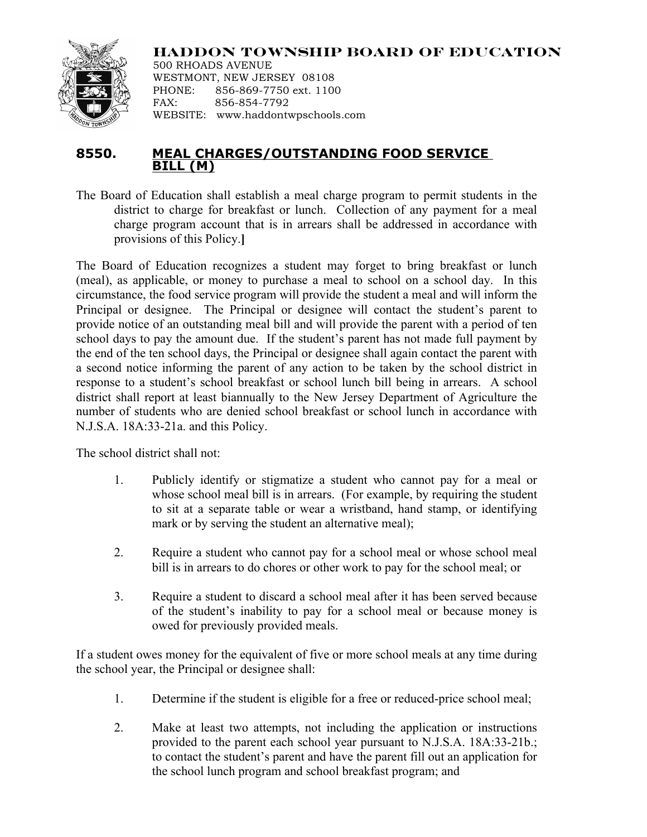## **HADDON TOWNSHIP BOARD OF EDUCATION**



500 RHOADS AVENUE WESTMONT, NEW JERSEY 08108 PHONE: 856-869-7750 ext. 1100 FAX: 856-854-7792 WEBSITE: www.haddontwpschools.com

## **8550. MEAL CHARGES/OUTSTANDING FOOD SERVICE BILL (M)**

The Board of Education shall establish a meal charge program to permit students in the district to charge for breakfast or lunch. Collection of any payment for a meal charge program account that is in arrears shall be addressed in accordance with provisions of this Policy.**]**

The Board of Education recognizes a student may forget to bring breakfast or lunch (meal), as applicable, or money to purchase a meal to school on a school day. In this circumstance, the food service program will provide the student a meal and will inform the Principal or designee. The Principal or designee will contact the student's parent to provide notice of an outstanding meal bill and will provide the parent with a period of ten school days to pay the amount due. If the student's parent has not made full payment by the end of the ten school days, the Principal or designee shall again contact the parent with a second notice informing the parent of any action to be taken by the school district in response to a student's school breakfast or school lunch bill being in arrears. A school district shall report at least biannually to the New Jersey Department of Agriculture the number of students who are denied school breakfast or school lunch in accordance with N.J.S.A. 18A:33-21a. and this Policy.

The school district shall not:

- 1. Publicly identify or stigmatize a student who cannot pay for a meal or whose school meal bill is in arrears. (For example, by requiring the student to sit at a separate table or wear a wristband, hand stamp, or identifying mark or by serving the student an alternative meal);
- 2. Require a student who cannot pay for a school meal or whose school meal bill is in arrears to do chores or other work to pay for the school meal; or
- 3. Require a student to discard a school meal after it has been served because of the student's inability to pay for a school meal or because money is owed for previously provided meals.

If a student owes money for the equivalent of five or more school meals at any time during the school year, the Principal or designee shall:

- 1. Determine if the student is eligible for a free or reduced-price school meal;
- 2. Make at least two attempts, not including the application or instructions provided to the parent each school year pursuant to N.J.S.A. 18A:33-21b.; to contact the student's parent and have the parent fill out an application for the school lunch program and school breakfast program; and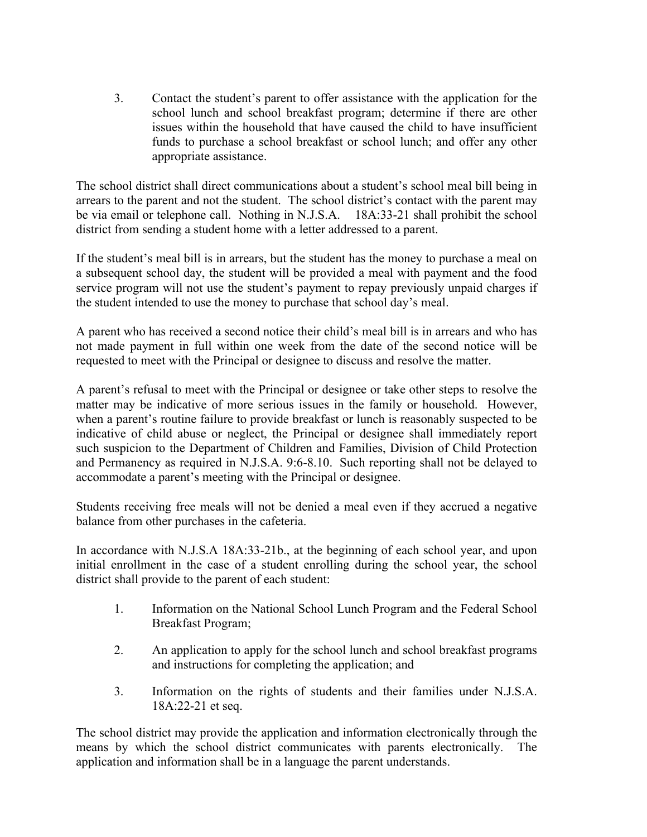3. Contact the student's parent to offer assistance with the application for the school lunch and school breakfast program; determine if there are other issues within the household that have caused the child to have insufficient funds to purchase a school breakfast or school lunch; and offer any other appropriate assistance.

The school district shall direct communications about a student's school meal bill being in arrears to the parent and not the student. The school district's contact with the parent may be via email or telephone call. Nothing in N.J.S.A. 18A:33-21 shall prohibit the school district from sending a student home with a letter addressed to a parent.

If the student's meal bill is in arrears, but the student has the money to purchase a meal on a subsequent school day, the student will be provided a meal with payment and the food service program will not use the student's payment to repay previously unpaid charges if the student intended to use the money to purchase that school day's meal.

A parent who has received a second notice their child's meal bill is in arrears and who has not made payment in full within one week from the date of the second notice will be requested to meet with the Principal or designee to discuss and resolve the matter.

A parent's refusal to meet with the Principal or designee or take other steps to resolve the matter may be indicative of more serious issues in the family or household. However, when a parent's routine failure to provide breakfast or lunch is reasonably suspected to be indicative of child abuse or neglect, the Principal or designee shall immediately report such suspicion to the Department of Children and Families, Division of Child Protection and Permanency as required in N.J.S.A. 9:6-8.10. Such reporting shall not be delayed to accommodate a parent's meeting with the Principal or designee.

Students receiving free meals will not be denied a meal even if they accrued a negative balance from other purchases in the cafeteria.

In accordance with N.J.S.A 18A:33-21b., at the beginning of each school year, and upon initial enrollment in the case of a student enrolling during the school year, the school district shall provide to the parent of each student:

- 1. Information on the National School Lunch Program and the Federal School Breakfast Program;
- 2. An application to apply for the school lunch and school breakfast programs and instructions for completing the application; and
- 3. Information on the rights of students and their families under N.J.S.A. 18A:22-21 et seq.

The school district may provide the application and information electronically through the means by which the school district communicates with parents electronically. The application and information shall be in a language the parent understands.